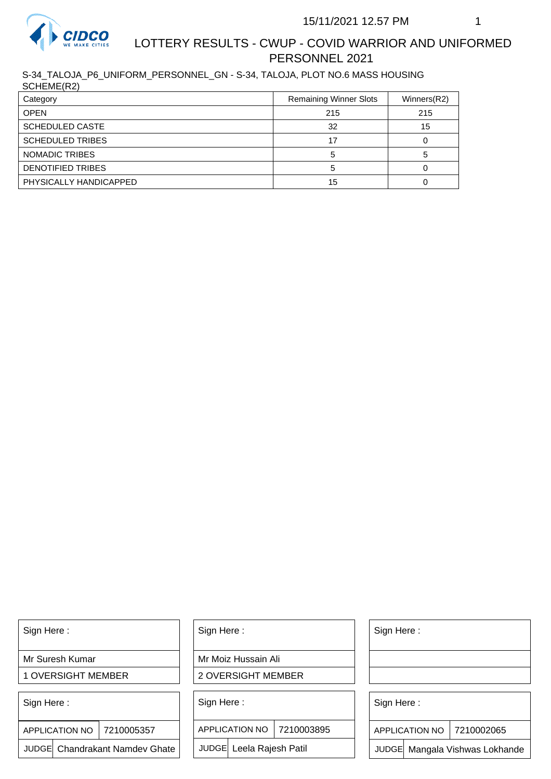

## LOTTERY RESULTS - CWUP - COVID WARRIOR AND UNIFORMED PERSONNEL 2021

S-34\_TALOJA\_P6\_UNIFORM\_PERSONNEL\_GN - S-34, TALOJA, PLOT NO.6 MASS HOUSING SCHEME(R2)

| Category                 | <b>Remaining Winner Slots</b> | Winners(R2) |
|--------------------------|-------------------------------|-------------|
| <b>OPEN</b>              | 215                           | 215         |
| <b>SCHEDULED CASTE</b>   | 32                            | 15          |
| <b>SCHEDULED TRIBES</b>  | 17                            |             |
| NOMADIC TRIBES           |                               |             |
| <b>DENOTIFIED TRIBES</b> |                               |             |
| PHYSICALLY HANDICAPPED   | 15                            |             |

Sign Here :

Mr Suresh Kumar

1 OVERSIGHT MEMBER

Sign Here :

7210005357 APPLICATION NO

JUDGE Chandrakant Namdev Ghate

Sign Here :

Mr Moiz Hussain Ali

2 OVERSIGHT MEMBER

Sign Here :

APPLICATION NO 7210003895

JUDGE Leela Rajesh Patil

Sign Here :

Sign Here :

APPLICATION NO | 7210002065

Chandrakant Namdev Ghate  $|\quad|$  JUDGE Leela Rajesh Patil  $|\quad|$  JUDGE Mangala Vishwas Lokhande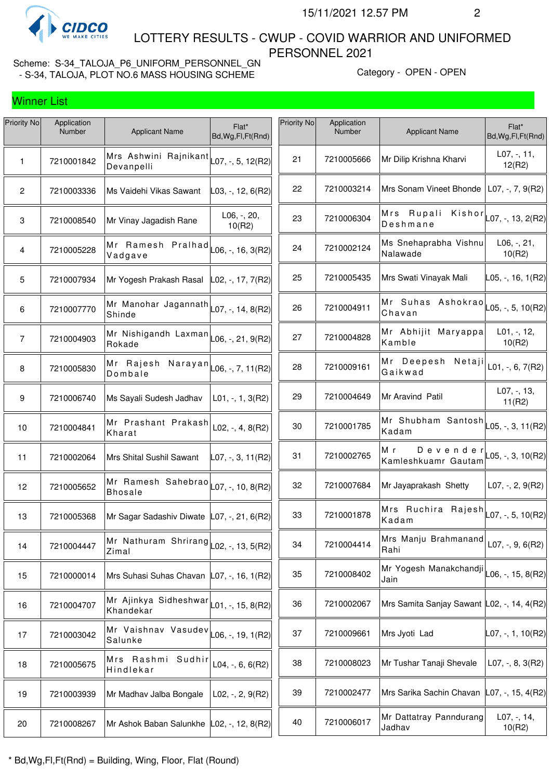

 LOTTERY RESULTS - CWUP - COVID WARRIOR AND UNIFORMED PERSONNEL 2021

| Priority No    | Application<br><b>Number</b> | <b>Applicant Name</b>                                                                               | Flat*<br>Bd, Wg, Fl, Ft (Rnd)                   | Priority No | Application<br>Number | <b>Applicant Name</b>                                             | Flat*<br>Bd, Wg, Fl, Ft (Rnd) |
|----------------|------------------------------|-----------------------------------------------------------------------------------------------------|-------------------------------------------------|-------------|-----------------------|-------------------------------------------------------------------|-------------------------------|
| 1              | 7210001842                   | Mrs Ashwini Rajnikant<br>Devanpelli                                                                 | $\textsf{L}07, -$ , 5, 12(R2)                   | 21          | 7210005666            | Mr Dilip Krishna Kharvi                                           | $L07, -11,$<br>12(R2)         |
| $\mathbf{2}$   | 7210003336                   | Ms Vaidehi Vikas Sawant                                                                             | L03, -, 12, 6(R2)                               | 22          | 7210003214            | Mrs Sonam Vineet Bhonde   L07, -, 7, 9(R2)                        |                               |
| $\mathbf 3$    | 7210008540                   | Mr Vinay Jagadish Rane                                                                              | $L06, -, 20,$<br>10(R2)                         | 23          | 7210006304            | Mrs Rupali Kishor $\vert$ L07, -, 13, 2(R2)<br>Deshmane           |                               |
| $\overline{4}$ | 7210005228                   | Mr Ramesh Pralhad<br>Vadgave                                                                        | $\textsf{L06}, -16, 3(\textsf{R2})$             | 24          | 7210002124            | Ms Snehaprabha Vishnu<br>Nalawade                                 | $L06, -, 21,$<br>10(R2)       |
| 5              | 7210007934                   | Mr Yogesh Prakash Rasal                                                                             | $\vert$ L02, -, 17, 7(R2) $\vert$               | 25          | 7210005435            | Mrs Swati Vinayak Mali                                            | L05, -, 16, 1(R2)             |
| 6              | 7210007770                   | Mr Manohar Jagannath $\vert$ L07, -, 14, 8(R2)<br>Shinde                                            |                                                 | 26          | 7210004911            | Mr Suhas Ashokrao $\vert$ <sub>L05, -</sub> , 5, 10(R2)<br>Chavan |                               |
| $\overline{7}$ | 7210004903                   | Mr Nishigandh Laxman<br>Rokade                                                                      | $L06, -21, 9(R2)$                               | 27          | 7210004828            | Mr Abhijit Maryappa<br>Kamble                                     | $L01, -12,$<br>10(R2)         |
| 8              | 7210005830                   | Mr Rajesh Narayan<br>Dombale                                                                        | $\textsf{L06}, \textsf{-}, 7, 11 (\textsf{R2})$ | 28          | 7210009161            | Mr Deepesh Netaji<br>Gaikwad                                      | L01, $-$ , 6, 7(R2)           |
| 9              | 7210006740                   | Ms Sayali Sudesh Jadhav                                                                             | $L01, -1, 3(R2)$                                | 29          | 7210004649            | Mr Aravind Patil                                                  | L07, -, 13,<br>11(R2)         |
| 10             | 7210004841                   | Mr Prashant Prakash<br>Kharat                                                                       | $L02, -, 4, 8(R2)$                              | 30          | 7210001785            | Mr Shubham Santosh<br>Kadam                                       | $L05, -, 3, 11(R2)$           |
| 11             | 7210002064                   | Mrs Shital Sushil Sawant                                                                            | L07, -, 3, 11(R2)                               | 31          | 7210002765            | M r<br>Devender<br>Kamleshkuamr Gautam                            | $L05, -3, 10(R2)$             |
| 12             | 7210005652                   | Mr Ramesh Sahebrao $\vert$ L07, -, 10, 8(R2)<br><b>Bhosale</b>                                      |                                                 | 32          | 7210007684            | Mr Jayaprakash Shetty                                             | $L07, -2, 9(R2)$              |
| 13             | 7210005368                   | Mr Sagar Sadashiv Diwate L07, -, 21, 6(R2)                                                          |                                                 | 33          | 7210001878            | Mrs Ruchira Rajesh $\vert$ 27, -, 5, 10(R2)<br>Kadam              |                               |
| 14             | 7210004447                   | Mr Nathuram Shrirang $\vert$ $\vert$ 02, -, 13, 5(R2)<br>Zimal                                      |                                                 | 34          | 7210004414            | Mrs Manju Brahmanand<br>Rahi                                      | L07, $-$ , 9, 6(R2)           |
| 15             | 7210000014                   | Mrs Suhasi Suhas Chavan                                                                             | $ $ L07, -, 16, 1(R2)                           | 35          | 7210008402            | Mr Yogesh Manakchandji<br>Jain                                    | $L06, -15, 8(R2)$             |
| 16             | 7210004707                   | Mr Ajinkya Sidheshwar $\vert_{\text{L01, -, 15, 8(R2)}}$<br>Khandekar                               |                                                 | 36          | 7210002067            | Mrs Samita Sanjay Sawant L02, -, 14, 4(R2)                        |                               |
| 17             | 7210003042                   | Mr Vaishnav Vasudev $\vert$ L <sub>06, -</sub> , 19, 1(R2) <sup><math>\vert</math></sup><br>Salunke |                                                 | 37          | 7210009661            | Mrs Jyoti Lad                                                     | L07, -, 1, 10(R2)             |
| 18             | 7210005675                   | Mrs Rashmi Sudhir<br>Hindlekar                                                                      | $L04, -, 6, 6(R2)$                              | 38          | 7210008023            | Mr Tushar Tanaji Shevale                                          | $LO7, -, 8, 3(R2)$            |
| 19             | 7210003939                   | Mr Madhav Jalba Bongale                                                                             | $L02, -, 2, 9(R2)$                              | 39          | 7210002477            | Mrs Sarika Sachin Chavan L07, -, 15, 4(R2)                        |                               |
| 20             | 7210008267                   | Mr Ashok Baban Salunkhe L02, -, 12, 8(R2)                                                           |                                                 | 40          | 7210006017            | Mr Dattatray Panndurang<br>Jadhav                                 | $L07, -, 14,$<br>10(R2)       |
|                |                              |                                                                                                     |                                                 |             |                       |                                                                   |                               |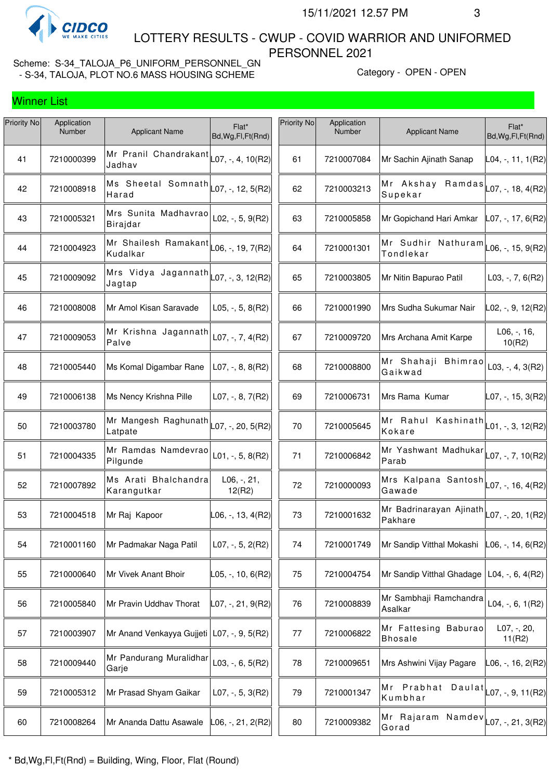

 LOTTERY RESULTS - CWUP - COVID WARRIOR AND UNIFORMED PERSONNEL 2021

| Priority No | Application<br>Number | <b>Applicant Name</b>                                 | Flat*<br>Bd, Wg, Fl, Ft (Rnd) | Priority No | Application<br>Number | <b>Applicant Name</b>                                                    | Flat*<br>Bd, Wg, Fl, Ft (Rnd) |
|-------------|-----------------------|-------------------------------------------------------|-------------------------------|-------------|-----------------------|--------------------------------------------------------------------------|-------------------------------|
| 41          | 7210000399            | Mr Pranil Chandrakant<br>Jadhav                       | L07, -, 4, 10(R2)             | 61          | 7210007084            | Mr Sachin Ajinath Sanap                                                  | L04, -, 11, 1(R2)             |
| 42          | 7210008918            | Ms Sheetal Somnath $\vert$ L07, -, 12, 5(R2)<br>Harad |                               | 62          | 7210003213            | Mr Akshay Ramdas $\vert$ L07, -, 18, 4(R2)<br>Supekar                    |                               |
| 43          | 7210005321            | Mrs Sunita Madhavrao<br>Birajdar                      | L02, $-$ , 5, 9(R2)           | 63          | 7210005858            | Mr Gopichand Hari Amkar                                                  | $ $ L07, -, 17, 6(R2)         |
| 44          | 7210004923            | Mr Shailesh Ramakant<br>Kudalkar                      | L06, -, 19, 7(R2)             | 64          | 7210001301            | Mr Sudhir Nathuram $\vert_{\text{L06},\text{-, 15, 9(R2)}}$<br>Tondlekar |                               |
| 45          | 7210009092            | Mrs Vidya Jagannath<br>Jagtap                         | $\vert$ L07, -, 3, 12(R2)     | 65          | 7210003805            | Mr Nitin Bapurao Patil                                                   | $L03, -7, 6(R2)$              |
| 46          | 7210008008            | Mr Amol Kisan Saravade                                | $L05, -, 5, 8(R2)$            | 66          | 7210001990            | Mrs Sudha Sukumar Nair                                                   | L02, -, 9, 12(R2)             |
| 47          | 7210009053            | Mr Krishna Jagannath<br>Palve                         | $L07, -7, 4(R2)$              | 67          | 7210009720            | Mrs Archana Amit Karpe                                                   | $L06, -, 16,$<br>10(R2)       |
| 48          | 7210005440            | Ms Komal Digambar Rane                                | $L07, -, 8, 8(R2)$            | 68          | 7210008800            | Mr Shahaji Bhimrao<br>Gaikwad                                            | $L03, -, 4, 3(R2)$            |
| 49          | 7210006138            | Ms Nency Krishna Pille                                | L07, $-$ , 8, 7(R2)           | 69          | 7210006731            | Mrs Rama Kumar                                                           | L07, -, 15, 3(R2)             |
| 50          | 7210003780            | Mr Mangesh Raghunath<br>Latpate                       | L07, -, 20, 5(R2)             | 70          | 7210005645            | Mr Rahul Kashinath $\vert_{\text{L01},\text{-, 3, 12(R2)}}$<br>Kokare    |                               |
| 51          | 7210004335            | Mr Ramdas Namdevrao<br>Pilgunde                       | L01, $-$ , 5, 8(R2)           | 71          | 7210006842            | Mr Yashwant Madhukar $\vert$ L07, -, 7, 10(R2)<br>Parab                  |                               |
| 52          | 7210007892            | Ms Arati Bhalchandra<br>Karangutkar                   | $L06, -, 21,$<br>12(R2)       | 72          | 7210000093            | Mrs Kalpana Santosh $\vert$ L07, -, 16, 4(R2)<br>Gawade                  |                               |
| 53          | 7210004518            | Mr Raj Kapoor                                         | $L06, -13, 4(R2)$             | 73          | 7210001632            | Mr Badrinarayan Ajinath $L_{07, 7}$ , 20, 1(R2)<br>Pakhare               |                               |
| 54          | 7210001160            | Mr Padmakar Naga Patil                                | $L07, -, 5, 2(R2)$            | 74          | 7210001749            | Mr Sandip Vitthal Mokashi                                                | $LO6, -14, 6(R2)$             |
| 55          | 7210000640            | Mr Vivek Anant Bhoir                                  | L05, -, 10, 6(R2)             | 75          | 7210004754            | Mr Sandip Vitthal Ghadage                                                | L04, -, 6, 4(R2)              |
| 56          | 7210005840            | Mr Pravin Uddhav Thorat                               | L07, -, 21, 9(R2)             | 76          | 7210008839            | Mr Sambhaji Ramchandra<br>Asalkar                                        | L04, $-$ , 6, 1(R2)           |
| 57          | 7210003907            | Mr Anand Venkayya Gujjeti   L07, -, 9, 5(R2)          |                               | 77          | 7210006822            | Mr Fattesing Baburao<br><b>Bhosale</b>                                   | L07, -, 20,<br>11(R2)         |
| 58          | 7210009440            | Mr Pandurang Muralidhar<br>Garje                      | $L03, -, 6, 5(R2)$            | 78          | 7210009651            | Mrs Ashwini Vijay Pagare                                                 | L06, -, 16, 2(R2)             |
| 59          | 7210005312            | Mr Prasad Shyam Gaikar                                | $L07, -, 5, 3(R2)$            | 79          | 7210001347            | Mr Prabhat Daulat $\vert$ $\vert$ 07, -, 9, 11(R2)<br>Kumbhar            |                               |
| 60          | 7210008264            | Mr Ananda Dattu Asawale                               | L06, -, 21, 2(R2)             | 80          | 7210009382            | Mr Rajaram Namdev<br>Gorad                                               | $LO7, -, 21, 3(R2)$           |
|             |                       |                                                       |                               |             |                       |                                                                          |                               |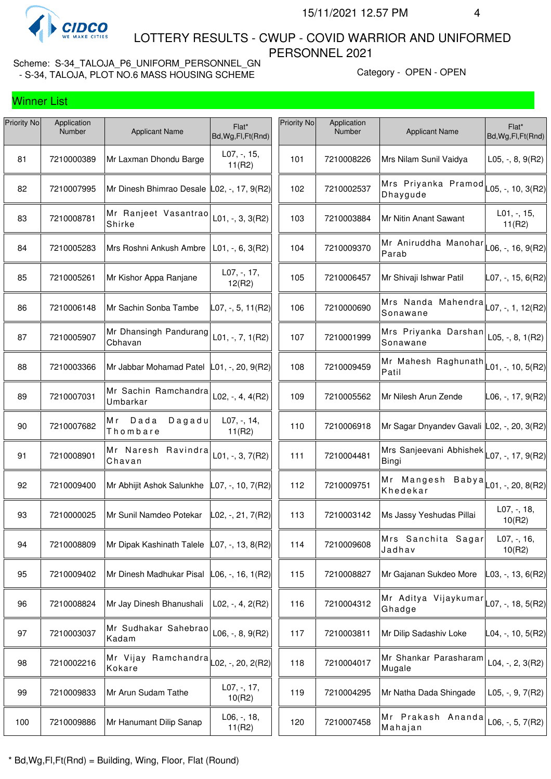

 LOTTERY RESULTS - CWUP - COVID WARRIOR AND UNIFORMED PERSONNEL 2021

Scheme: S-34\_TALOJA\_P6\_UNIFORM\_PERSONNEL\_GN - S-34, TALOJA, PLOT NO.6 MASS HOUSING SCHEME Category - OPEN - OPEN - OPEN

| Priority No | Application<br>Number | <b>Applicant Name</b>             | Flat*<br>Bd, Wg, Fl, Ft (Rnd)                        | Priority No | Application<br>Number | <b>Applicant Name</b>                                                     | Flat*<br>Bd, Wg, Fl, Ft (Rnd) |
|-------------|-----------------------|-----------------------------------|------------------------------------------------------|-------------|-----------------------|---------------------------------------------------------------------------|-------------------------------|
| 81          | 7210000389            | Mr Laxman Dhondu Barge            | L07, -, 15,<br>11(R2)                                | 101         | 7210008226            | Mrs Nilam Sunil Vaidya                                                    | L05, $-$ , 8, 9(R2)           |
| 82          | 7210007995            | Mr Dinesh Bhimrao Desale          | $ L02, -, 17, 9(R2) $                                | 102         | 7210002537            | Mrs Priyanka Pramod<br>Dhaygude                                           | L05, -, 10, 3(R2)             |
| 83          | 7210008781            | Mr Ranjeet Vasantrao<br>Shirke    | $L01, -, 3, 3(R2)$                                   | 103         | 7210003884            | Mr Nitin Anant Sawant                                                     | $L01, -15,$<br>11(R2)         |
| 84          | 7210005283            | Mrs Roshni Ankush Ambre           | $L01, -, 6, 3(R2)$                                   | 104         | 7210009370            | Mr Aniruddha Manohar<br>Parab                                             | L06, -, 16, 9(R2)             |
| 85          | 7210005261            | Mr Kishor Appa Ranjane            | L07, -, 17,<br>12(R2)                                | 105         | 7210006457            | Mr Shivaji Ishwar Patil                                                   | $LO7, -, 15, 6(R2)$           |
| 86          | 7210006148            | Mr Sachin Sonba Tambe             | L07, -, 5, 11(R2)                                    | 106         | 7210000690            | Mrs Nanda Mahendra<br>Sonawane                                            | $LO7, -1, 12(R2)$             |
| 87          | 7210005907            | Mr Dhansingh Pandurang<br>Cbhavan | $L01, -7, 1(R2)$                                     | 107         | 7210001999            | Mrs Priyanka Darshan<br>Sonawane                                          | L05, $-$ , 8, 1(R2)           |
| 88          | 7210003366            | Mr Jabbar Mohamad Patel           | L01, -, 20, 9(R2)                                    | 108         | 7210009459            | Mr Mahesh Raghunath<br>Patil                                              | L01, -, 10, 5(R2)             |
| 89          | 7210007031            | Mr Sachin Ramchandra<br>Umbarkar  | L02, $-$ , 4, 4(R2)                                  | 109         | 7210005562            | Mr Nilesh Arun Zende                                                      | L06, -, 17, 9(R2)             |
| 90          | 7210007682            | Dada<br>Dagadu<br>Мr<br>Thombare  | $L07, -, 14,$<br>11(R2)                              | 110         | 7210006918            | Mr Sagar Dnyandev Gavali L02, -, 20, 3(R2)                                |                               |
| 91          | 7210008901            | Mr Naresh Ravindra<br>Chavan      | $L01, -, 3, 7(R2)$                                   | 111         | 7210004481            | Mrs Sanjeevani Abhishek $\vert_{\text{LO}7,\text{-, 17, 9(R2)}}$<br>Bingi |                               |
| 92          | 7210009400            | Mr Abhijit Ashok Salunkhe         | $ $ L07, -, 10, 7(R2) $ $                            | 112         | 7210009751            | ---<br> Mr Mangesh Babya  <sub> </sub> _01,-,20,8(R2)<br>Khedekar         |                               |
| 93          | 7210000025            | Mr Sunil Namdeo Potekar           | L02, -, 21, 7(R2)                                    | 113         | 7210003142            | Ms Jassy Yeshudas Pillai                                                  | L07, -, 18,<br>10(R2)         |
| 94          | 7210008809            | Mr Dipak Kashinath Talele         | $ $ L07, -, 13, 8(R2)                                | 114         | 7210009608            | Mrs Sanchita Sagar<br>Jadhav                                              | $L07, -, 16,$<br>10(R2)       |
| 95          | 7210009402            | Mr Dinesh Madhukar Pisal          | $ $ L06, -, 16, 1(R2)                                | 115         | 7210008827            | Mr Gajanan Sukdeo More                                                    | L03, -, 13, 6(R2)             |
| 96          | 7210008824            | Mr Jay Dinesh Bhanushali          | $L02, -, 4, 2(R2)$                                   | 116         | 7210004312            | Mr Aditya Vijaykumar<br>Ghadge                                            | L07, -, 18, 5(R2)             |
| 97          | 7210003037            | Mr Sudhakar Sahebrao<br>Kadam     | $L06, -, 8, 9(R2)$                                   | 117         | 7210003811            | Mr Dilip Sadashiv Loke                                                    | L04, -, 10, 5(R2)             |
| 98          | 7210002216            | Mr Vijay Ramchandra<br>Kokare     | $\text{\sf LO2}, \text{\sf -}, 20, 2(\text{\sf R2})$ | 118         | 7210004017            | Mr Shankar Parasharam<br>Mugale                                           | L04, $-$ , 2, 3(R2)           |
| 99          | 7210009833            | Mr Arun Sudam Tathe               | L07, -, 17,<br>10(R2)                                | 119         | 7210004295            | Mr Natha Dada Shingade                                                    | $L05, -, 9, 7(R2)$            |
| 100         | 7210009886            | Mr Hanumant Dilip Sanap           | L06, -, 18,<br>11(R2)                                | 120         | 7210007458            | Mr Prakash Ananda<br>Mahajan                                              | L06, $-$ , 5, 7(R2)           |
|             |                       |                                   |                                                      |             |                       |                                                                           |                               |

\* Bd,Wg,Fl,Ft(Rnd) = Building, Wing, Floor, Flat (Round)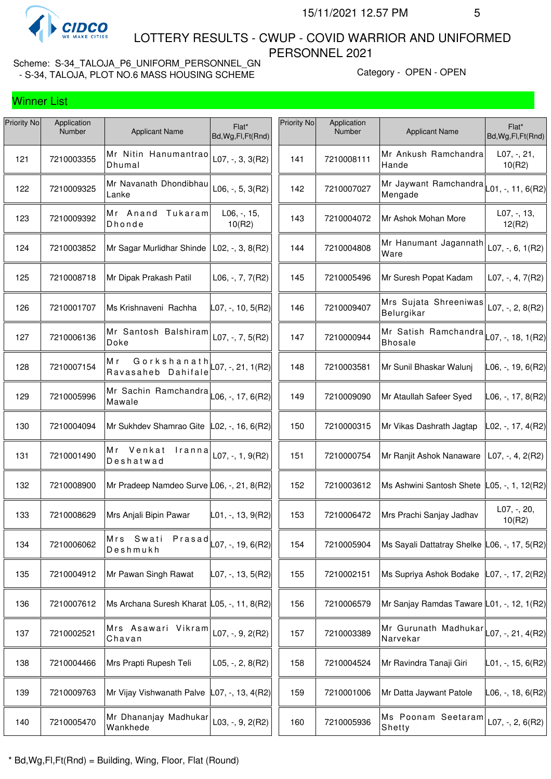

 LOTTERY RESULTS - CWUP - COVID WARRIOR AND UNIFORMED PERSONNEL 2021

|             |                       |                                                                   |                                       | Priority No |                       |                                              |                              |
|-------------|-----------------------|-------------------------------------------------------------------|---------------------------------------|-------------|-----------------------|----------------------------------------------|------------------------------|
| Priority No | Application<br>Number | <b>Applicant Name</b>                                             | Flat*<br>Bd, Wg, Fl, Ft (Rnd)         |             | Application<br>Number | <b>Applicant Name</b>                        | Flat*<br>Bd, Wg, Fl, Ft(Rnd) |
| 121         | 7210003355            | Mr Nitin Hanumantrao<br>Dhumal                                    | $L07, -, 3, 3(R2)$                    | 141         | 7210008111            | Mr Ankush Ramchandra<br>Hande                | L07, -, 21,<br>10(R2)        |
| 122         | 7210009325            | Mr Navanath Dhondibhau<br>Lanke                                   | $L06, -, 5, 3(R2)$                    | 142         | 7210007027            | Mr Jaywant Ramchandra<br>Mengade             | $-01, -11, 6(R2)$            |
| 123         | 7210009392            | Mr Anand<br>Tukaram<br>Dhonde                                     | L06, -, 15,<br>10(R2)                 | 143         | 7210004072            | Mr Ashok Mohan More                          | $L07, -13,$<br>12(R2)        |
| 124         | 7210003852            | Mr Sagar Murlidhar Shinde                                         | $L02, -$ , 3, 8(R2)                   | 144         | 7210004808            | Mr Hanumant Jagannath<br>Ware                | $L07, -, 6, 1(R2)$           |
| 125         | 7210008718            | Mr Dipak Prakash Patil                                            | $L06, -7, 7(R2)$                      | 145         | 7210005496            | Mr Suresh Popat Kadam                        | $L07, -, 4, 7(R2)$           |
| 126         | 7210001707            | Ms Krishnaveni Rachha                                             | L07, -, 10, 5(R2)                     | 146         | 7210009407            | Mrs Sujata Shreeniwas<br>Belurgikar          | $L07, -, 2, 8(R2)$           |
| 127         | 7210006136            | Mr Santosh Balshiram<br>Doke                                      | L07, -, 7, 5(R2)                      | 147         | 7210000944            | Mr Satish Ramchandra<br><b>Bhosale</b>       | $-07, -18, 1(R2)$            |
| 128         | 7210007154            | Мr<br>Gorkshanath $\vert$ L07, -, 21, 1(R2)<br>Ravasaheb Dahifale |                                       | 148         | 7210003581            | Mr Sunil Bhaskar Walunj                      | L06, -, 19, 6(R2)            |
| 129         | 7210005996            | Mr Sachin Ramchandra L06, -, 17, 6(R2)<br>Mawale                  |                                       | 149         | 7210009090            | Mr Ataullah Safeer Syed                      | L06, -, 17, 8(R2)            |
| 130         | 7210004094            | Mr Sukhdev Shamrao Gite                                           | $ $ L02, -, 16, 6(R2) $ $             | 150         | 7210000315            | Mr Vikas Dashrath Jagtap                     | L02, -, 17, 4(R2)            |
| 131         | 7210001490            | Mr Venkat<br>Iranna<br>Deshatwad                                  | L07, $-$ , 1, 9(R2)                   | 151         | 7210000754            | Mr Ranjit Ashok Nanaware                     | $L07, -, 4, 2(R2)$           |
| 132         | 7210008900            | Mr Pradeep Namdeo Surve L06, -, 21, 8(R2)                         |                                       | 152         | 7210003612            | Ms Ashwini Santosh Shete                     | _05, -, 1, 12(R2)            |
| 133         | 7210008629            | Mrs Anjali Bipin Pawar                                            | $L01, -, 13, 9(R2)$                   | 153         | 7210006472            | Mrs Prachi Sanjay Jadhav                     | L07, -, 20,<br>10(R2)        |
| 134         | 7210006062            | Mrs Swati<br>Deshmukh                                             | $Prasad$ <sub>L07, -, 19, 6(R2)</sub> | 154         | 7210005904            | Ms Sayali Dattatray Shelke L06, -, 17, 5(R2) |                              |
| 135         | 7210004912            | Mr Pawan Singh Rawat                                              | L07, -, 13, 5(R2)                     | 155         | 7210002151            | Ms Supriya Ashok Bodake                      | L07, -, 17, 2(R2)            |
| 136         | 7210007612            | Ms Archana Suresh Kharat L05, -, 11, 8(R2)                        |                                       | 156         | 7210006579            | Mr Sanjay Ramdas Taware L01, -, 12, 1(R2)    |                              |
| 137         | 7210002521            | Mrs Asawari Vikram<br>Chavan                                      | L07, -, 9, 2(R2)                      | 157         | 7210003389            | Mr Gurunath Madhukar<br>Narvekar             | L07, -, 21, 4(R2)            |
| 138         | 7210004466            | Mrs Prapti Rupesh Teli                                            | L05, $-$ , 2, 8(R2)                   | 158         | 7210004524            | Mr Ravindra Tanaji Giri                      | L01, -, 15, 6(R2)            |
| 139         | 7210009763            | Mr Vijay Vishwanath Palve                                         | L07, -, 13, 4(R2)                     | 159         | 7210001006            | Mr Datta Jaywant Patole                      | L06, -, 18, 6(R2)            |
| 140         | 7210005470            | Mr Dhananjay Madhukar<br>Wankhede                                 | $L03, -, 9, 2(R2)$                    | 160         | 7210005936            | Ms Poonam Seetaram<br>Shetty                 | $L07, -, 2, 6(R2)$           |
|             |                       |                                                                   |                                       |             |                       |                                              |                              |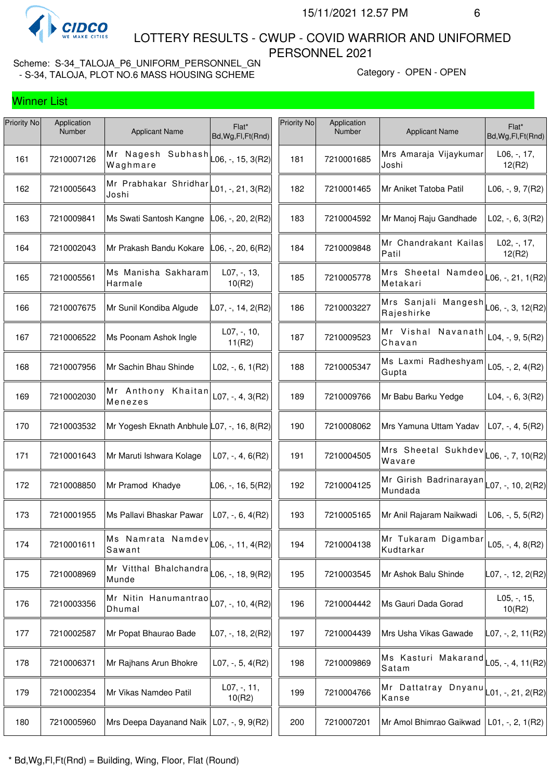

 LOTTERY RESULTS - CWUP - COVID WARRIOR AND UNIFORMED PERSONNEL 2021

| Priority No | Application<br>Number | <b>Applicant Name</b>                                                                            | Flat*<br>Bd, Wg, Fl, Ft (Rnd) | Priority No | Application<br>Number | <b>Applicant Name</b>                                       | Flat*<br>Bd, Wg, Fl, Ft (Rnd) |
|-------------|-----------------------|--------------------------------------------------------------------------------------------------|-------------------------------|-------------|-----------------------|-------------------------------------------------------------|-------------------------------|
| 161         | 7210007126            | Mr Nagesh Subhash<br>Waghmare                                                                    | $-06, -15, 3(R2)$             | 181         | 7210001685            | Mrs Amaraja Vijaykumar<br>Joshi                             | $L06, -17,$<br>12(R2)         |
| 162         | 7210005643            | Mr Prabhakar Shridhar $\vert$ L01, -, 21, 3(R2)<br>Joshi                                         |                               | 182         | 7210001465            | Mr Aniket Tatoba Patil                                      | $L06, -, 9, 7(R2)$            |
| 163         | 7210009841            | Ms Swati Santosh Kangne                                                                          | L06, -, 20, 2(R2)             | 183         | 7210004592            | Mr Manoj Raju Gandhade                                      | L02, $-$ , 6, 3(R2)           |
| 164         | 7210002043            | Mr Prakash Bandu Kokare                                                                          | L06, -, 20, 6(R2)             | 184         | 7210009848            | Mr Chandrakant Kailas<br>Patil                              | $L02, -17,$<br>12(R2)         |
| 165         | 7210005561            | Ms Manisha Sakharam<br>Harmale                                                                   | $L07, -13,$<br>10(R2)         | 185         | 7210005778            | Mrs Sheetal Namdeo<br>Metakari                              | L06, -, 21, 1(R2)             |
| 166         | 7210007675            | Mr Sunil Kondiba Algude                                                                          | L07, -, 14, 2(R2)             | 186         | 7210003227            | Mrs Sanjali Mangesh $\vert$ L06, -, 3, 12(R2)<br>Rajeshirke |                               |
| 167         | 7210006522            | Ms Poonam Ashok Ingle                                                                            | $L07, -110,$<br>11(R2)        | 187         | 7210009523            | Mr Vishal<br>Navanath<br>Chavan                             | L04, $-$ , $9$ , $5(R2)$      |
| 168         | 7210007956            | Mr Sachin Bhau Shinde                                                                            | $L02, -, 6, 1(R2)$            | 188         | 7210005347            | Ms Laxmi Radheshyam<br>Gupta                                | L05, $-$ , 2, 4(R2)           |
| 169         | 7210002030            | Mr Anthony Khaitan<br>Menezes                                                                    | $L07, -, 4, 3(R2)$            | 189         | 7210009766            | Mr Babu Barku Yedge                                         | $L04, -, 6, 3(R2)$            |
| 170         | 7210003532            | Mr Yogesh Eknath Anbhule L07, -, 16, 8(R2)                                                       |                               | 190         | 7210008062            | Mrs Yamuna Uttam Yadav                                      | $L07, -, 4, 5(R2)$            |
| 171         | 7210001643            | Mr Maruti Ishwara Kolage                                                                         | $L07, -, 4, 6(R2)$            | 191         | 7210004505            | Mrs Sheetal Sukhdev<br>Wavare                               | $LO6, -7, 10(R2)$             |
| 172         | 7210008850            | Mr Pramod Khadye                                                                                 | L06, -, 16, 5(R2)             | 192         | 7210004125            | Mr Girish Badrinarayan $\vert$ L07, -, 10, 2(R2)<br>Mundada |                               |
| 173         | 7210001955            | Ms Pallavi Bhaskar Pawar                                                                         | $L07, -, 6, 4(R2)$            | 193         | 7210005165            | Mr Anil Rajaram Naikwadi                                    | $L06, -, 5, 5(R2)$            |
| 174         | 7210001611            | Ms Namrata Namdev $\vert$ L <sub>06, -</sub> , 11, 4(R2) <sup><math>\vert</math></sup><br>Sawant |                               | 194         | 7210004138            | Mr Tukaram Digambar<br>Kudtarkar                            | L05, $-$ , 4, 8(R2)           |
| 175         | 7210008969            | Mr Vitthal Bhalchandra<br>Munde                                                                  | L06, -, 18, 9(R2)             | 195         | 7210003545            | Mr Ashok Balu Shinde                                        | L07, -, 12, 2(R2)             |
| 176         | 7210003356            | Mr Nitin Hanumantrao<br>Dhumal                                                                   | $L07, -, 10, 4(R2)$           | 196         | 7210004442            | Ms Gauri Dada Gorad                                         | L05, -, 15,<br>10(R2)         |
| 177         | 7210002587            | Mr Popat Bhaurao Bade                                                                            | $L07, -, 18, 2(R2)$           | 197         | 7210004439            | Mrs Usha Vikas Gawade                                       | L07, -, 2, 11(R2)             |
| 178         | 7210006371            | Mr Rajhans Arun Bhokre                                                                           | L07, $-$ , 5, 4(R2)           | 198         | 7210009869            | Ms Kasturi Makarand<br>Satam                                | $L05, -, 4, 11(R2)$           |
| 179         | 7210002354            | Mr Vikas Namdeo Patil                                                                            | $L07, -11,$<br>10(R2)         | 199         | 7210004766            | Mr Dattatray Dnyanu<br>Kanse                                | L01, -, 21, 2(R2)             |
| 180         | 7210005960            | Mrs Deepa Dayanand Naik                                                                          | $L07, -, 9, 9(R2)$            | 200         | 7210007201            | Mr Amol Bhimrao Gaikwad                                     | $ L01, -2, 1(R2) $            |
|             |                       |                                                                                                  |                               |             |                       |                                                             |                               |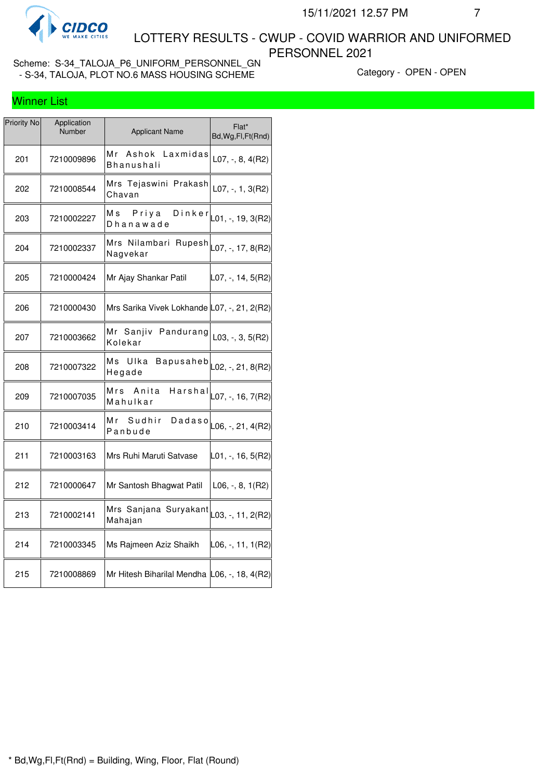

 LOTTERY RESULTS - CWUP - COVID WARRIOR AND UNIFORMED PERSONNEL 2021

| Priority No | Application<br>Number | <b>Applicant Name</b>                                               | Flat*<br>Bd, Wg, Fl, Ft (Rnd)     |
|-------------|-----------------------|---------------------------------------------------------------------|-----------------------------------|
| 201         | 7210009896            | Mr<br>Ashok Laxmidas<br>Bhanushali                                  | $L07, -, 8, 4(R2)$                |
| 202         | 7210008544            | Mrs Tejaswini Prakash<br>Chavan                                     | $L07, -1, 3(R2)$                  |
| 203         | 7210002227            | Priya<br>M s<br>Dhanawade                                           | D in $k e r$ $L01, -1, 19, 3(R2)$ |
| 204         | 7210002337            | Mrs Nilambari Rupesh $\vert_{\text{L}07,}$ -, 17, 8(R2)<br>Nagvekar |                                   |
| 205         | 7210000424            | Mr Ajay Shankar Patil                                               | L07, -, 14, 5(R2)                 |
| 206         | 7210000430            | Mrs Sarika Vivek Lokhande L07, -, 21, 2(R2)                         |                                   |
| 207         | 7210003662            | Mr Sanjiv Pandurang<br>Kolekar                                      | $L03, -3, 5(R2)$                  |
| 208         | 7210007322            | <b>Bapusaheb</b><br>Ms<br>Ulka<br>Hegade                            | L02, -, 21, 8(R2)                 |
| 209         | 7210007035            | Anita<br>Mrs<br>Harshal<br>Mahulkar                                 | L07, -, 16, 7(R2)                 |
| 210         | 7210003414            | Мr<br>Sudhir<br>Panbude                                             | Dadaso $\vert$ L06, -, 21, 4(R2)  |
| 211         | 7210003163            | Mrs Ruhi Maruti Satvase                                             | L01, -, 16, 5(R2)                 |
| 212         | 7210000647            | Mr Santosh Bhagwat Patil                                            | $L06, -, 8, 1(R2)$                |
| 213         | 7210002141            | Mrs Sanjana Suryakant $\vert_{\text{L03, -, 11, 2(R2)}}$<br>Mahajan |                                   |
| 214         | 7210003345            | Ms Rajmeen Aziz Shaikh                                              | L06, -, 11, 1(R2)                 |
| 215         | 7210008869            | Mr Hitesh Biharilal Mendha L06, -, 18, 4(R2)                        |                                   |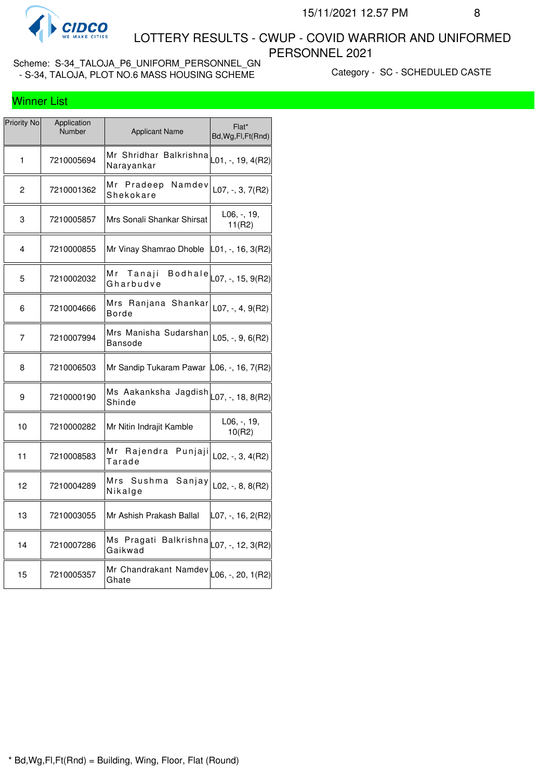

 LOTTERY RESULTS - CWUP - COVID WARRIOR AND UNIFORMED PERSONNEL 2021

Scheme: S-34\_TALOJA\_P6\_UNIFORM\_PERSONNEL\_GN - SALTING CONTROLS IN STRING SIGN CONTROLS CONTROLLED CONTROLLED CASTE<br>- S-34, TALOJA, PLOT NO.6 MASS HOUSING SCHEME CATEGORY - SC - SCHEDULED CASTE

## Winner List

| Priority No | Application<br>Number | <b>Applicant Name</b>                                                             | Flat*<br>Bd, Wg, Fl, Ft (Rnd) |
|-------------|-----------------------|-----------------------------------------------------------------------------------|-------------------------------|
| 1           | 7210005694            | Mr Shridhar Balkrishna<br>Narayankar                                              | L01, -, 19, 4(R2)             |
| 2           | 7210001362            | Mr Pradeep<br>Namdev<br>Shekokare                                                 | $L07, -3, 7(R2)$              |
| 3           | 7210005857            | Mrs Sonali Shankar Shirsat                                                        | L06, -, 19,<br>11(R2)         |
| 4           | 7210000855            | Mr Vinay Shamrao Dhoble                                                           | L01, -, 16, 3(R2)             |
| 5           | 7210002032            | <b>Bodhale</b><br>Mr Tanaji<br>Gharbudve                                          | L07, -, 15, 9(R2)             |
| 6           | 7210004666            | Mrs Ranjana Shankar<br>Borde                                                      | L07, -, 4, $9(R2)$            |
| 7           | 7210007994            | Mrs Manisha Sudarshan<br><b>Bansode</b>                                           | $L05, -, 9, 6(R2)$            |
| 8           | 7210006503            | Mr Sandip Tukaram Pawar L06, -, 16, 7(R2)                                         |                               |
| 9           | 7210000190            | Ms Aakanksha Jagdish<br>Shinde                                                    | $L07, -, 18, 8(R2)$           |
| 10          | 7210000282            | Mr Nitin Indrajit Kamble                                                          | L06, -, 19,<br>10(R2)         |
| 11          | 7210008583            | Mr Rajendra Punjaji<br>Tarade                                                     | $L02, -3, 4(R2)$              |
| 12          | 7210004289            | Mrs<br>Sushma<br>Sanjay<br>Nikalge                                                | $L02, -, 8, 8(R2)$            |
| 13          | 7210003055            | Mr Ashish Prakash Ballal                                                          | L07, -, 16, 2(R2)             |
| 14          | 7210007286            | Ms Pragati Balkrishna $\vert_{\text{LO7},\text{--},\text{ 12, 3(R2)}}$<br>Gaikwad |                               |
| 15          | 7210005357            | Mr Chandrakant Namdev<br>Ghate                                                    | $L06, -20, 1(R2)$             |